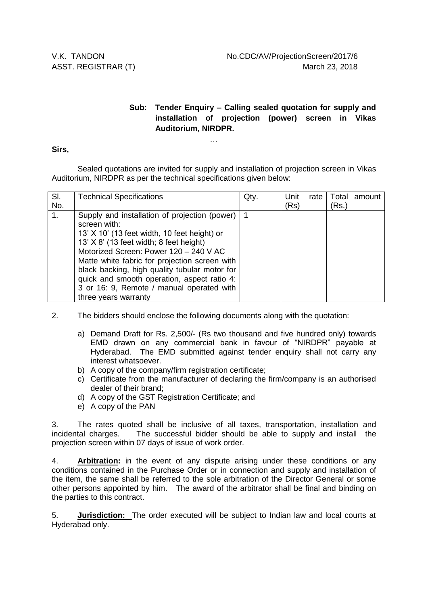## **Sub: Tender Enquiry – Calling sealed quotation for supply and installation of projection (power) screen in Vikas Auditorium, NIRDPR.**

…

## **Sirs,**

Sealed quotations are invited for supply and installation of projection screen in Vikas Auditorium, NIRDPR as per the technical specifications given below:

| SI. | <b>Technical Specifications</b>               | Qty. | Unit | rate |       | Total amount |
|-----|-----------------------------------------------|------|------|------|-------|--------------|
| No. |                                               |      | (Rs) |      | (Rs.) |              |
| 1.  | Supply and installation of projection (power) |      |      |      |       |              |
|     | screen with:                                  |      |      |      |       |              |
|     | 13' X 10' (13 feet width, 10 feet height) or  |      |      |      |       |              |
|     | $13'$ X 8' (13 feet width; 8 feet height)     |      |      |      |       |              |
|     | Motorized Screen: Power 120 - 240 V AC        |      |      |      |       |              |
|     | Matte white fabric for projection screen with |      |      |      |       |              |
|     | black backing, high quality tubular motor for |      |      |      |       |              |
|     | quick and smooth operation, aspect ratio 4:   |      |      |      |       |              |
|     | 3 or 16: 9, Remote / manual operated with     |      |      |      |       |              |
|     | three years warranty                          |      |      |      |       |              |

2. The bidders should enclose the following documents along with the quotation:

- a) Demand Draft for Rs. 2,500/- (Rs two thousand and five hundred only) towards EMD drawn on any commercial bank in favour of "NIRDPR" payable at Hyderabad. The EMD submitted against tender enquiry shall not carry any interest whatsoever.
- b) A copy of the company/firm registration certificate;
- c) Certificate from the manufacturer of declaring the firm/company is an authorised dealer of their brand;
- d) A copy of the GST Registration Certificate; and
- e) A copy of the PAN

3. The rates quoted shall be inclusive of all taxes, transportation, installation and incidental charges. The successful bidder should be able to supply and install the projection screen within 07 days of issue of work order.

4. **Arbitration:** in the event of any dispute arising under these conditions or any conditions contained in the Purchase Order or in connection and supply and installation of the item, the same shall be referred to the sole arbitration of the Director General or some other persons appointed by him. The award of the arbitrator shall be final and binding on the parties to this contract.

5. **Jurisdiction:** The order executed will be subject to Indian law and local courts at Hyderabad only.